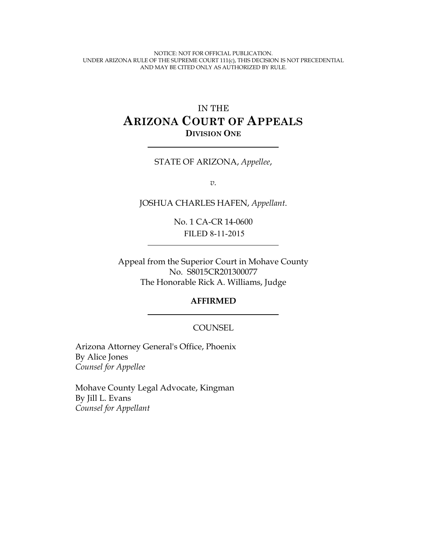NOTICE: NOT FOR OFFICIAL PUBLICATION. UNDER ARIZONA RULE OF THE SUPREME COURT 111(c), THIS DECISION IS NOT PRECEDENTIAL AND MAY BE CITED ONLY AS AUTHORIZED BY RULE.

# IN THE **ARIZONA COURT OF APPEALS DIVISION ONE**

#### STATE OF ARIZONA, *Appellee*,

*v.*

JOSHUA CHARLES HAFEN, *Appellant*.

No. 1 CA-CR 14-0600 FILED 8-11-2015

Appeal from the Superior Court in Mohave County No. S8015CR201300077 The Honorable Rick A. Williams, Judge

#### **AFFIRMED**

#### **COUNSEL**

Arizona Attorney General's Office, Phoenix By Alice Jones *Counsel for Appellee*

Mohave County Legal Advocate, Kingman By Jill L. Evans *Counsel for Appellant*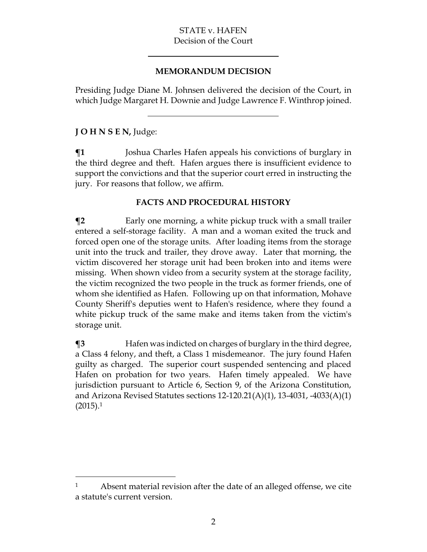#### **MEMORANDUM DECISION**

Presiding Judge Diane M. Johnsen delivered the decision of the Court, in which Judge Margaret H. Downie and Judge Lawrence F. Winthrop joined.

# **J O H N S E N,** Judge:

 $\overline{a}$ 

**¶1** Joshua Charles Hafen appeals his convictions of burglary in the third degree and theft. Hafen argues there is insufficient evidence to support the convictions and that the superior court erred in instructing the jury. For reasons that follow, we affirm.

# **FACTS AND PROCEDURAL HISTORY**

**The Tarly one morning, a white pickup truck with a small trailer** entered a self-storage facility. A man and a woman exited the truck and forced open one of the storage units. After loading items from the storage unit into the truck and trailer, they drove away. Later that morning, the victim discovered her storage unit had been broken into and items were missing. When shown video from a security system at the storage facility, the victim recognized the two people in the truck as former friends, one of whom she identified as Hafen. Following up on that information, Mohave County Sheriff's deputies went to Hafen's residence, where they found a white pickup truck of the same make and items taken from the victim's storage unit.

 $\textsf{I}$ **3** Hafen was indicted on charges of burglary in the third degree, a Class 4 felony, and theft, a Class 1 misdemeanor. The jury found Hafen guilty as charged. The superior court suspended sentencing and placed Hafen on probation for two years. Hafen timely appealed. We have jurisdiction pursuant to Article 6, Section 9, of the Arizona Constitution, and Arizona Revised Statutes sections  $12{\text -}120.21(A)(1)$ ,  $13{\text -}4031$ ,  $-4033(A)(1)$  $(2015).1$ 

<sup>&</sup>lt;sup>1</sup> Absent material revision after the date of an alleged offense, we cite a statute's current version.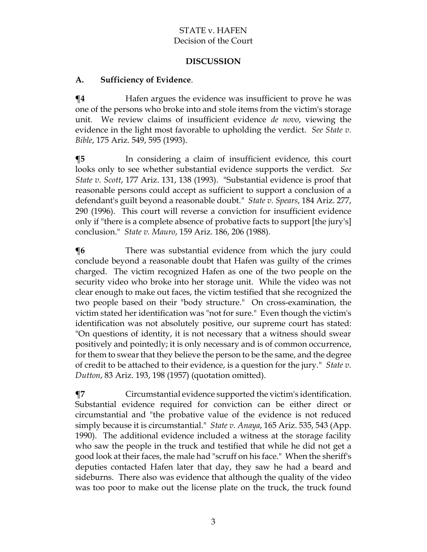## **DISCUSSION**

#### **A. Sufficiency of Evidence**.

 $\P$ **4** Hafen argues the evidence was insufficient to prove he was one of the persons who broke into and stole items from the victim's storage unit. We review claims of insufficient evidence *de novo*, viewing the evidence in the light most favorable to upholding the verdict. *See State v. Bible*, 175 Ariz. 549, 595 (1993).

**¶5** In considering a claim of insufficient evidence, this court looks only to see whether substantial evidence supports the verdict. *See State v. Scott*, 177 Ariz. 131, 138 (1993). "Substantial evidence is proof that reasonable persons could accept as sufficient to support a conclusion of a defendant's guilt beyond a reasonable doubt." *State v. Spears*, 184 Ariz. 277, 290 (1996). This court will reverse a conviction for insufficient evidence only if "there is a complete absence of probative facts to support [the jury's] conclusion." *State v. Mauro*, 159 Ariz. 186, 206 (1988).

**There was substantial evidence from which the jury could** conclude beyond a reasonable doubt that Hafen was guilty of the crimes charged. The victim recognized Hafen as one of the two people on the security video who broke into her storage unit. While the video was not clear enough to make out faces, the victim testified that she recognized the two people based on their "body structure." On cross-examination, the victim stated her identification was "not for sure." Even though the victim's identification was not absolutely positive, our supreme court has stated: "On questions of identity, it is not necessary that a witness should swear positively and pointedly; it is only necessary and is of common occurrence, for them to swear that they believe the person to be the same, and the degree of credit to be attached to their evidence, is a question for the jury." *State v. Dutton*, 83 Ariz. 193, 198 (1957) (quotation omitted).

**¶7** Circumstantial evidence supported the victim's identification. Substantial evidence required for conviction can be either direct or circumstantial and "the probative value of the evidence is not reduced simply because it is circumstantial." *State v. Anaya*, 165 Ariz. 535, 543 (App. 1990). The additional evidence included a witness at the storage facility who saw the people in the truck and testified that while he did not get a good look at their faces, the male had "scruff on his face." When the sheriff's deputies contacted Hafen later that day, they saw he had a beard and sideburns. There also was evidence that although the quality of the video was too poor to make out the license plate on the truck, the truck found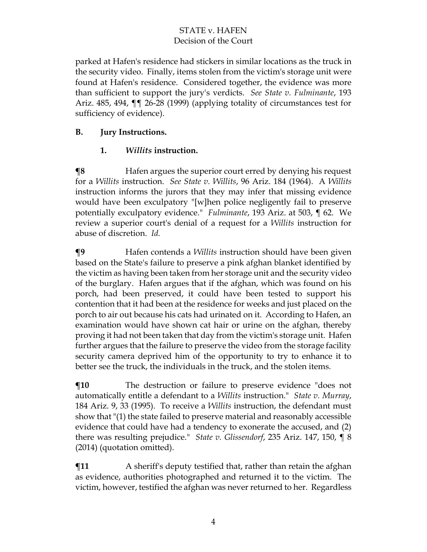parked at Hafen's residence had stickers in similar locations as the truck in the security video. Finally, items stolen from the victim's storage unit were found at Hafen's residence. Considered together, the evidence was more than sufficient to support the jury's verdicts. *See State v. Fulminante*, 193 Ariz. 485, 494, ¶¶ 26-28 (1999) (applying totality of circumstances test for sufficiency of evidence).

# **B. Jury Instructions.**

# **1.** *Willits* **instruction.**

**¶8** Hafen argues the superior court erred by denying his request for a *Willits* instruction. *See State v. Willits*, 96 Ariz. 184 (1964). A *Willits* instruction informs the jurors that they may infer that missing evidence would have been exculpatory "[w]hen police negligently fail to preserve potentially exculpatory evidence." *Fulminante*, 193 Ariz. at 503, ¶ 62. We review a superior court's denial of a request for a *Willits* instruction for abuse of discretion. *Id.*

**¶9** Hafen contends a *Willits* instruction should have been given based on the State's failure to preserve a pink afghan blanket identified by the victim as having been taken from her storage unit and the security video of the burglary. Hafen argues that if the afghan, which was found on his porch, had been preserved, it could have been tested to support his contention that it had been at the residence for weeks and just placed on the porch to air out because his cats had urinated on it. According to Hafen, an examination would have shown cat hair or urine on the afghan, thereby proving it had not been taken that day from the victim's storage unit. Hafen further argues that the failure to preserve the video from the storage facility security camera deprived him of the opportunity to try to enhance it to better see the truck, the individuals in the truck, and the stolen items.

**¶10** The destruction or failure to preserve evidence "does not automatically entitle a defendant to a *Willits* instruction." *State v. Murray*, 184 Ariz. 9, 33 (1995). To receive a *Willits* instruction, the defendant must show that "(1) the state failed to preserve material and reasonably accessible evidence that could have had a tendency to exonerate the accused, and (2) there was resulting prejudice." *State v. Glissendorf*, 235 Ariz. 147, 150, ¶ 8 (2014) (quotation omitted).

**¶11** A sheriff's deputy testified that, rather than retain the afghan as evidence, authorities photographed and returned it to the victim. The victim, however, testified the afghan was never returned to her. Regardless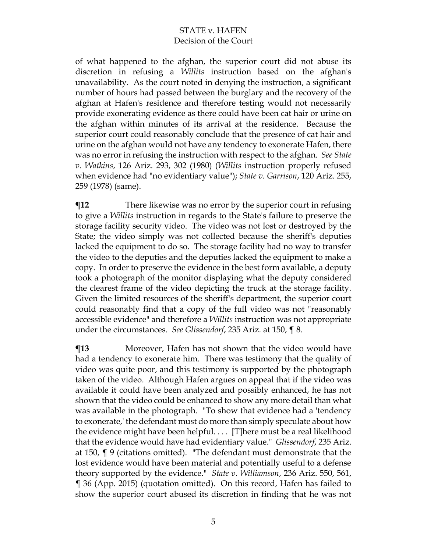of what happened to the afghan, the superior court did not abuse its discretion in refusing a *Willits* instruction based on the afghan's unavailability. As the court noted in denying the instruction, a significant number of hours had passed between the burglary and the recovery of the afghan at Hafen's residence and therefore testing would not necessarily provide exonerating evidence as there could have been cat hair or urine on the afghan within minutes of its arrival at the residence. Because the superior court could reasonably conclude that the presence of cat hair and urine on the afghan would not have any tendency to exonerate Hafen, there was no error in refusing the instruction with respect to the afghan. *See State v. Watkins*, 126 Ariz. 293, 302 (1980) (*Willits* instruction properly refused when evidence had "no evidentiary value"); *State v. Garrison*, 120 Ariz. 255, 259 (1978) (same).

**There likewise was no error by the superior court in refusing** to give a *Willits* instruction in regards to the State's failure to preserve the storage facility security video. The video was not lost or destroyed by the State; the video simply was not collected because the sheriff's deputies lacked the equipment to do so. The storage facility had no way to transfer the video to the deputies and the deputies lacked the equipment to make a copy. In order to preserve the evidence in the best form available, a deputy took a photograph of the monitor displaying what the deputy considered the clearest frame of the video depicting the truck at the storage facility. Given the limited resources of the sheriff's department, the superior court could reasonably find that a copy of the full video was not "reasonably accessible evidence" and therefore a *Willits* instruction was not appropriate under the circumstances. *See Glissendorf*, 235 Ariz. at 150, ¶ 8.

**¶13** Moreover, Hafen has not shown that the video would have had a tendency to exonerate him. There was testimony that the quality of video was quite poor, and this testimony is supported by the photograph taken of the video. Although Hafen argues on appeal that if the video was available it could have been analyzed and possibly enhanced, he has not shown that the video could be enhanced to show any more detail than what was available in the photograph. "To show that evidence had a 'tendency to exonerate,' the defendant must do more than simply speculate about how the evidence might have been helpful. . . . [T]here must be a real likelihood that the evidence would have had evidentiary value." *Glissendorf*, 235 Ariz. at 150, ¶ 9 (citations omitted). "The defendant must demonstrate that the lost evidence would have been material and potentially useful to a defense theory supported by the evidence." *State v. Williamson*, 236 Ariz. 550, 561, ¶ 36 (App. 2015) (quotation omitted). On this record, Hafen has failed to show the superior court abused its discretion in finding that he was not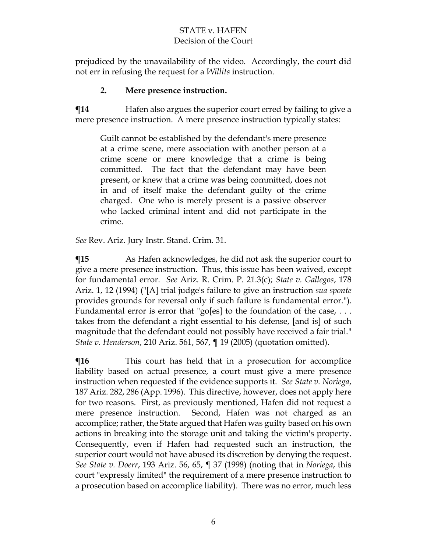prejudiced by the unavailability of the video. Accordingly, the court did not err in refusing the request for a *Willits* instruction.

#### **2. Mere presence instruction.**

 $\P$ **14** Hafen also argues the superior court erred by failing to give a mere presence instruction. A mere presence instruction typically states:

Guilt cannot be established by the defendant's mere presence at a crime scene, mere association with another person at a crime scene or mere knowledge that a crime is being committed. The fact that the defendant may have been present, or knew that a crime was being committed, does not in and of itself make the defendant guilty of the crime charged. One who is merely present is a passive observer who lacked criminal intent and did not participate in the crime.

*See* Rev. Ariz. Jury Instr. Stand. Crim. 31.

**The Term** As Hafen acknowledges, he did not ask the superior court to give a mere presence instruction. Thus, this issue has been waived, except for fundamental error. *See* Ariz. R. Crim. P. 21.3(c); *State v. Gallegos*, 178 Ariz. 1, 12 (1994) ("[A] trial judge's failure to give an instruction *sua sponte* provides grounds for reversal only if such failure is fundamental error."). Fundamental error is error that "go[es] to the foundation of the case, ... takes from the defendant a right essential to his defense, [and is] of such magnitude that the defendant could not possibly have received a fair trial." *State v. Henderson*, 210 Ariz. 561, 567, ¶ 19 (2005) (quotation omitted).

**This court has held that in a prosecution for accomplice** liability based on actual presence, a court must give a mere presence instruction when requested if the evidence supports it. *See State v. Noriega*, 187 Ariz. 282, 286 (App. 1996). This directive, however, does not apply here for two reasons. First, as previously mentioned, Hafen did not request a mere presence instruction. Second, Hafen was not charged as an accomplice; rather, the State argued that Hafen was guilty based on his own actions in breaking into the storage unit and taking the victim's property. Consequently, even if Hafen had requested such an instruction, the superior court would not have abused its discretion by denying the request. *See State v. Doerr*, 193 Ariz. 56, 65, ¶ 37 (1998) (noting that in *Noriega*, this court "expressly limited" the requirement of a mere presence instruction to a prosecution based on accomplice liability). There was no error, much less